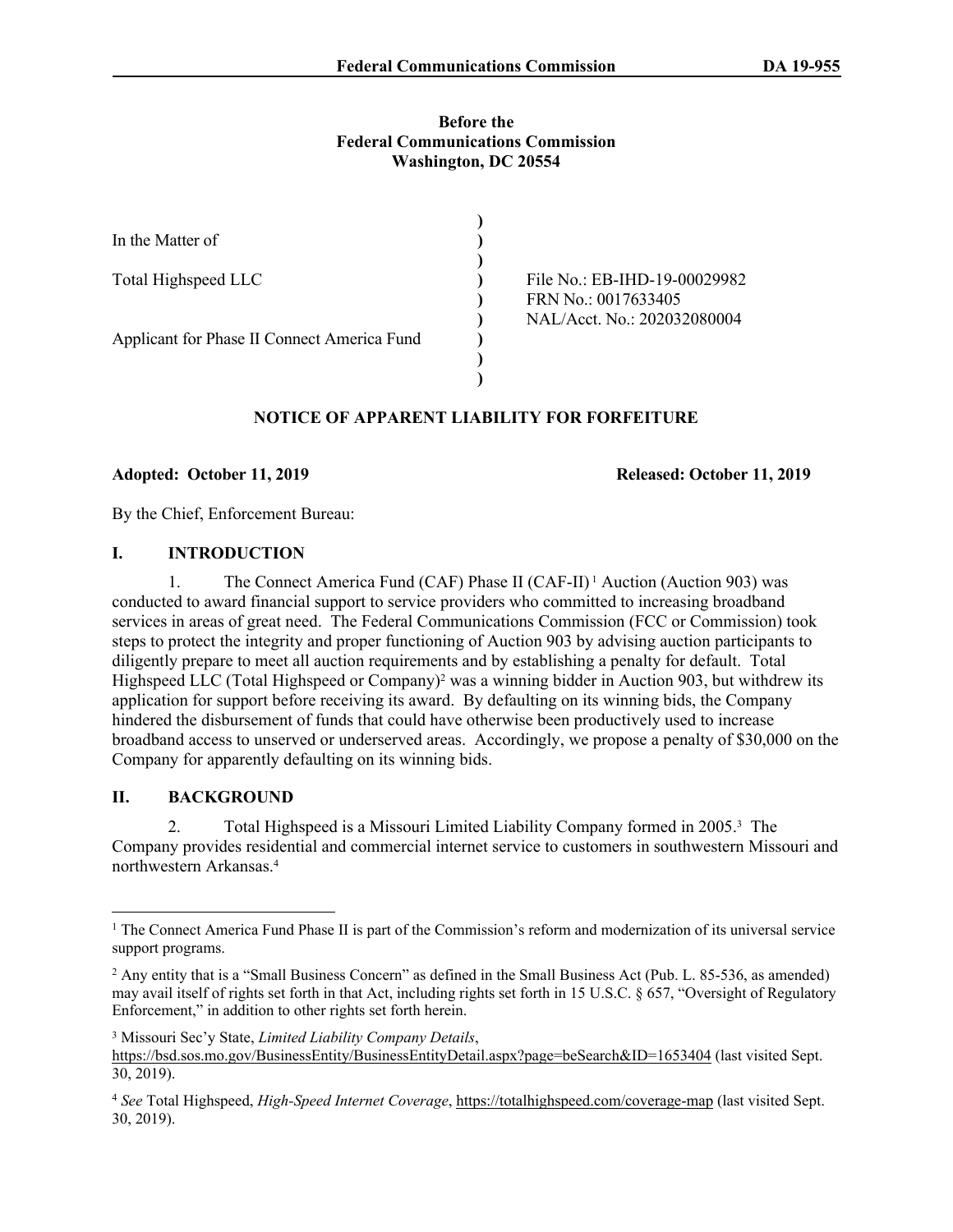#### **Before the Federal Communications Commission Washington, DC 20554**

| In the Matter of                            |                                                                                    |
|---------------------------------------------|------------------------------------------------------------------------------------|
| Total Highspeed LLC                         | File No.: EB-IHD-19-00029982<br>FRN No.: 0017633405<br>NAL/Acct. No.: 202032080004 |
| Applicant for Phase II Connect America Fund |                                                                                    |

# **NOTICE OF APPARENT LIABILITY FOR FORFEITURE**

## **Adopted: October 11, 2019 Released: October 11, 2019**

By the Chief, Enforcement Bureau:

## **I. INTRODUCTION**

1. The Connect America Fund (CAF) Phase II (CAF-II) 1 Auction (Auction 903) was conducted to award financial support to service providers who committed to increasing broadband services in areas of great need. The Federal Communications Commission (FCC or Commission) took steps to protect the integrity and proper functioning of Auction 903 by advising auction participants to diligently prepare to meet all auction requirements and by establishing a penalty for default. Total Highspeed LLC (Total Highspeed or Company)<sup>2</sup> was a winning bidder in Auction 903, but withdrew its application for support before receiving its award. By defaulting on its winning bids, the Company hindered the disbursement of funds that could have otherwise been productively used to increase broadband access to unserved or underserved areas. Accordingly, we propose a penalty of \$30,000 on the Company for apparently defaulting on its winning bids.

## **II. BACKGROUND**

2. Total Highspeed is a Missouri Limited Liability Company formed in 2005.<sup>3</sup> The Company provides residential and commercial internet service to customers in southwestern Missouri and northwestern Arkansas.<sup>4</sup>

<sup>&</sup>lt;sup>1</sup> The Connect America Fund Phase II is part of the Commission's reform and modernization of its universal service support programs.

<sup>&</sup>lt;sup>2</sup> Any entity that is a "Small Business Concern" as defined in the Small Business Act (Pub. L. 85-536, as amended) may avail itself of rights set forth in that Act, including rights set forth in 15 U.S.C. § 657, "Oversight of Regulatory Enforcement," in addition to other rights set forth herein.

<sup>3</sup> Missouri Sec'y State, *Limited Liability Company Details*,

<https://bsd.sos.mo.gov/BusinessEntity/BusinessEntityDetail.aspx?page=beSearch&ID=1653404> (last visited Sept. 30, 2019).

<sup>4</sup> *See* Total Highspeed, *High-Speed Internet Coverage*,<https://totalhighspeed.com/coverage-map> (last visited Sept. 30, 2019).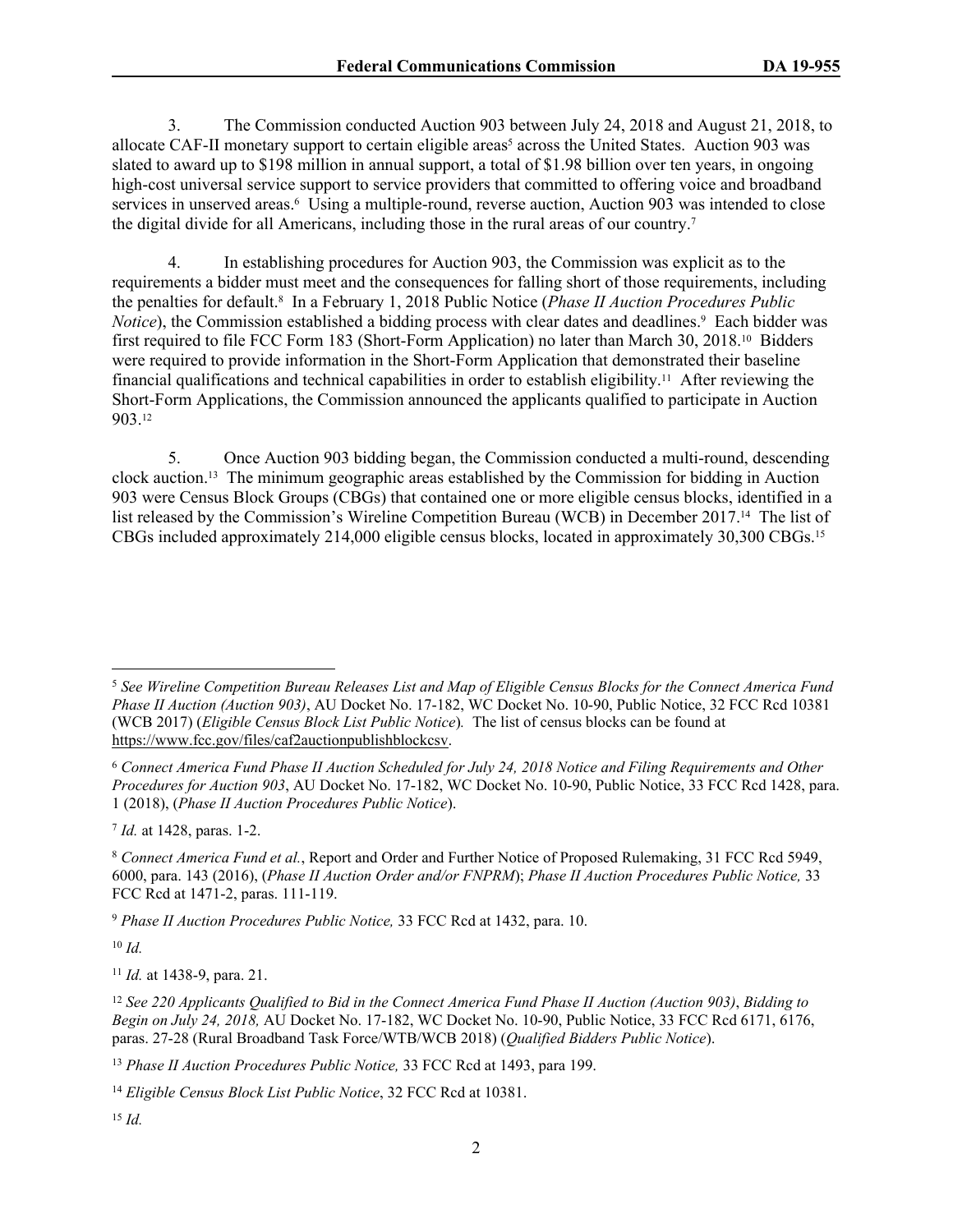3. The Commission conducted Auction 903 between July 24, 2018 and August 21, 2018, to allocate CAF-II monetary support to certain eligible areas<sup>5</sup> across the United States. Auction 903 was slated to award up to \$198 million in annual support, a total of \$1.98 billion over ten years, in ongoing high-cost universal service support to service providers that committed to offering voice and broadband services in unserved areas.<sup>6</sup> Using a multiple-round, reverse auction, Auction 903 was intended to close the digital divide for all Americans, including those in the rural areas of our country.<sup>7</sup>

4. In establishing procedures for Auction 903, the Commission was explicit as to the requirements a bidder must meet and the consequences for falling short of those requirements, including the penalties for default.<sup>8</sup> In a February 1, 2018 Public Notice (*Phase II Auction Procedures Public*  Notice), the Commission established a bidding process with clear dates and deadlines.<sup>9</sup> Each bidder was first required to file FCC Form 183 (Short-Form Application) no later than March 30, 2018.10 Bidders were required to provide information in the Short-Form Application that demonstrated their baseline financial qualifications and technical capabilities in order to establish eligibility.11 After reviewing the Short-Form Applications, the Commission announced the applicants qualified to participate in Auction 903.<sup>12</sup>

5. Once Auction 903 bidding began, the Commission conducted a multi-round, descending clock auction.13 The minimum geographic areas established by the Commission for bidding in Auction 903 were Census Block Groups (CBGs) that contained one or more eligible census blocks, identified in a list released by the Commission's Wireline Competition Bureau (WCB) in December 2017.14 The list of CBGs included approximately 214,000 eligible census blocks, located in approximately 30,300 CBGs.<sup>15</sup>

7 *Id.* at 1428, paras. 1-2.

<sup>9</sup> *Phase II Auction Procedures Public Notice,* 33 FCC Rcd at 1432, para. 10.

<sup>10</sup> *Id.*

<sup>11</sup> *Id.* at 1438-9, para. 21.

<sup>13</sup> *Phase II Auction Procedures Public Notice,* 33 FCC Rcd at 1493, para 199.

<sup>5</sup> *See Wireline Competition Bureau Releases List and Map of Eligible Census Blocks for the Connect America Fund Phase II Auction (Auction 903)*, AU Docket No. 17-182, WC Docket No. 10-90, Public Notice, 32 FCC Rcd 10381 (WCB 2017) (*Eligible Census Block List Public Notice*)*.* The list of census blocks can be found at <https://www.fcc.gov/files/caf2auctionpublishblockcsv>.

<sup>6</sup> *Connect America Fund Phase II Auction Scheduled for July 24, 2018 Notice and Filing Requirements and Other Procedures for Auction 903*, AU Docket No. 17-182, WC Docket No. 10-90, Public Notice, 33 FCC Rcd 1428, para. 1 (2018), (*Phase II Auction Procedures Public Notice*).

<sup>8</sup> *Connect America Fund et al.*, Report and Order and Further Notice of Proposed Rulemaking, 31 FCC Rcd 5949, 6000, para. 143 (2016), (*Phase II Auction Order and/or FNPRM*); *Phase II Auction Procedures Public Notice,* 33 FCC Rcd at 1471-2, paras. 111-119.

<sup>12</sup> *See 220 Applicants Qualified to Bid in the Connect America Fund Phase II Auction (Auction 903)*, *Bidding to Begin on July 24, 2018,* AU Docket No. 17-182, WC Docket No. 10-90, Public Notice, 33 FCC Rcd 6171, 6176, paras. 27-28 (Rural Broadband Task Force/WTB/WCB 2018) (*Qualified Bidders Public Notice*).

<sup>14</sup> *Eligible Census Block List Public Notice*, 32 FCC Rcd at 10381.

<sup>15</sup> *Id.*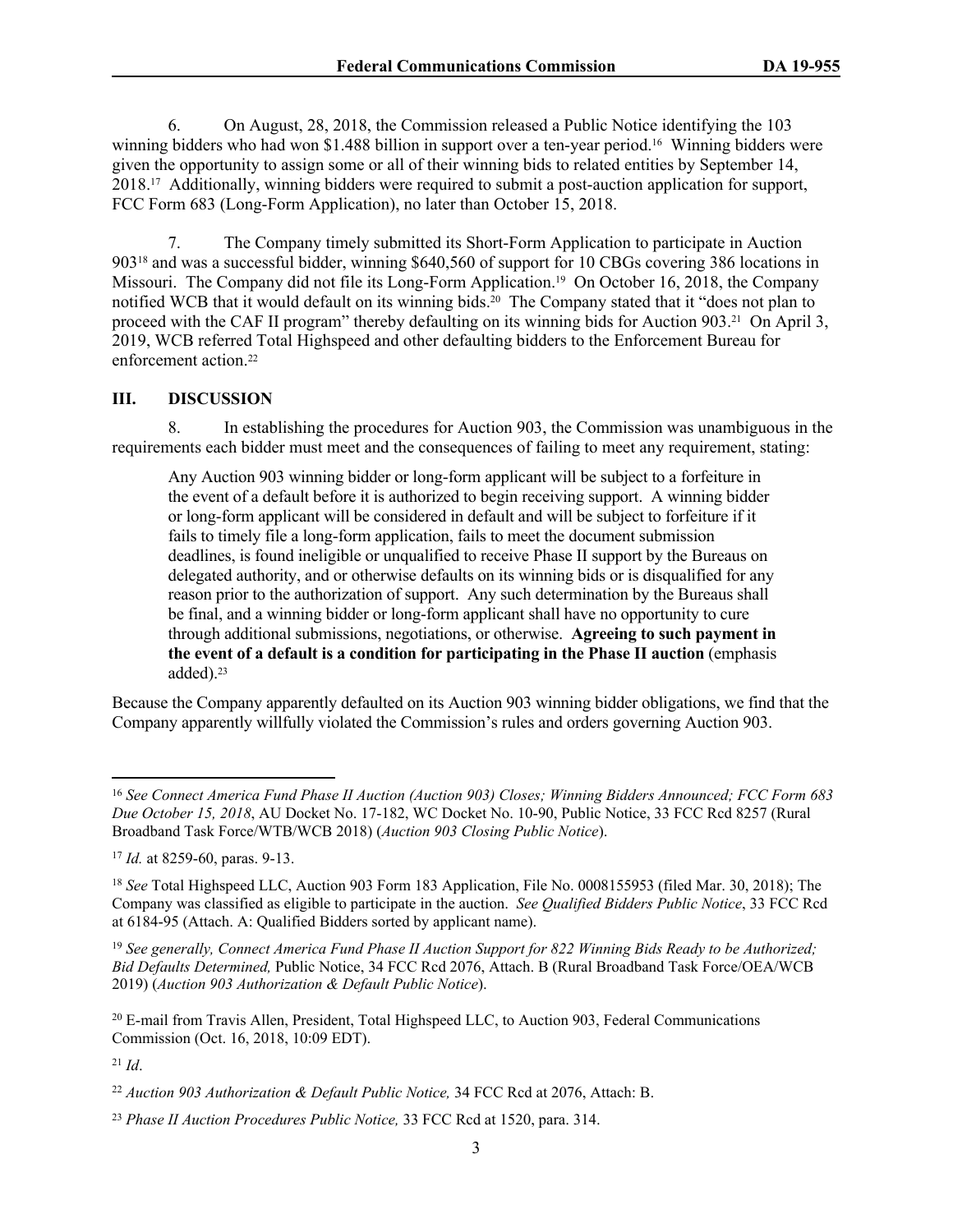6. On August, 28, 2018, the Commission released a Public Notice identifying the 103 winning bidders who had won \$1.488 billion in support over a ten-year period.<sup>16</sup> Winning bidders were given the opportunity to assign some or all of their winning bids to related entities by September 14, 2018.17 Additionally, winning bidders were required to submit a post-auction application for support, FCC Form 683 (Long-Form Application), no later than October 15, 2018.

7. The Company timely submitted its Short-Form Application to participate in Auction 90318 and was a successful bidder, winning \$640,560 of support for 10 CBGs covering 386 locations in Missouri. The Company did not file its Long-Form Application.19 On October 16, 2018, the Company notified WCB that it would default on its winning bids.20 The Company stated that it "does not plan to proceed with the CAF II program" thereby defaulting on its winning bids for Auction 903.21 On April 3, 2019, WCB referred Total Highspeed and other defaulting bidders to the Enforcement Bureau for enforcement action.<sup>22</sup>

#### **III. DISCUSSION**

8. In establishing the procedures for Auction 903, the Commission was unambiguous in the requirements each bidder must meet and the consequences of failing to meet any requirement, stating:

Any Auction 903 winning bidder or long-form applicant will be subject to a forfeiture in the event of a default before it is authorized to begin receiving support. A winning bidder or long-form applicant will be considered in default and will be subject to forfeiture if it fails to timely file a long-form application, fails to meet the document submission deadlines, is found ineligible or unqualified to receive Phase II support by the Bureaus on delegated authority, and or otherwise defaults on its winning bids or is disqualified for any reason prior to the authorization of support. Any such determination by the Bureaus shall be final, and a winning bidder or long-form applicant shall have no opportunity to cure through additional submissions, negotiations, or otherwise. **Agreeing to such payment in the event of a default is a condition for participating in the Phase II auction** (emphasis added).<sup>23</sup>

Because the Company apparently defaulted on its Auction 903 winning bidder obligations, we find that the Company apparently willfully violated the Commission's rules and orders governing Auction 903.

<sup>19</sup> *See generally, Connect America Fund Phase II Auction Support for 822 Winning Bids Ready to be Authorized; Bid Defaults Determined,* Public Notice, 34 FCC Rcd 2076, Attach. B (Rural Broadband Task Force/OEA/WCB 2019) (*Auction 903 Authorization & Default Public Notice*).

<sup>16</sup> *See Connect America Fund Phase II Auction (Auction 903) Closes; Winning Bidders Announced; FCC Form 683 Due October 15, 2018*, AU Docket No. 17-182, WC Docket No. 10-90, Public Notice, 33 FCC Rcd 8257 (Rural Broadband Task Force/WTB/WCB 2018) (*Auction 903 Closing Public Notice*).

<sup>17</sup> *Id.* at 8259-60, paras. 9-13.

<sup>18</sup> *See* Total Highspeed LLC, Auction 903 Form 183 Application, File No. 0008155953 (filed Mar. 30, 2018); The Company was classified as eligible to participate in the auction. *See Qualified Bidders Public Notice*, 33 FCC Rcd at 6184-95 (Attach. A: Qualified Bidders sorted by applicant name).

<sup>20</sup> E-mail from Travis Allen, President, Total Highspeed LLC, to Auction 903, Federal Communications Commission (Oct. 16, 2018, 10:09 EDT).

<sup>21</sup> *Id*.

<sup>22</sup> *Auction 903 Authorization & Default Public Notice,* 34 FCC Rcd at 2076, Attach: B.

<sup>23</sup> *Phase II Auction Procedures Public Notice,* 33 FCC Rcd at 1520, para. 314.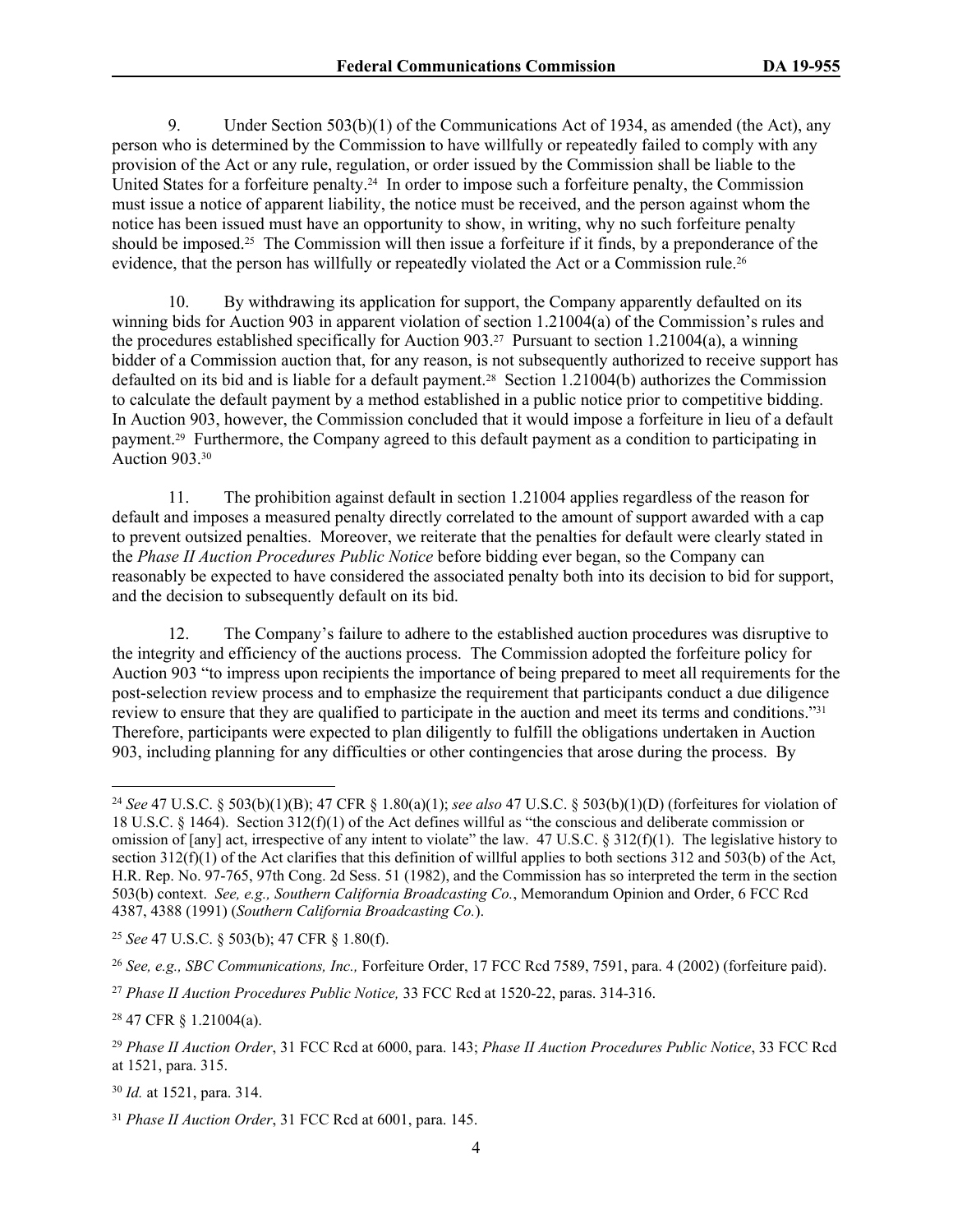9. Under Section 503(b)(1) of the Communications Act of 1934, as amended (the Act), any person who is determined by the Commission to have willfully or repeatedly failed to comply with any provision of the Act or any rule, regulation, or order issued by the Commission shall be liable to the United States for a forfeiture penalty.24 In order to impose such a forfeiture penalty, the Commission must issue a notice of apparent liability, the notice must be received, and the person against whom the notice has been issued must have an opportunity to show, in writing, why no such forfeiture penalty should be imposed.25 The Commission will then issue a forfeiture if it finds, by a preponderance of the evidence, that the person has willfully or repeatedly violated the Act or a Commission rule.<sup>26</sup>

10. By withdrawing its application for support, the Company apparently defaulted on its winning bids for Auction 903 in apparent violation of section 1.21004(a) of the Commission's rules and the procedures established specifically for Auction 903.27 Pursuant to section 1.21004(a), a winning bidder of a Commission auction that, for any reason, is not subsequently authorized to receive support has defaulted on its bid and is liable for a default payment.28 Section 1.21004(b) authorizes the Commission to calculate the default payment by a method established in a public notice prior to competitive bidding. In Auction 903, however, the Commission concluded that it would impose a forfeiture in lieu of a default payment.29 Furthermore, the Company agreed to this default payment as a condition to participating in Auction 903.<sup>30</sup>

11. The prohibition against default in section 1.21004 applies regardless of the reason for default and imposes a measured penalty directly correlated to the amount of support awarded with a cap to prevent outsized penalties. Moreover, we reiterate that the penalties for default were clearly stated in the *Phase II Auction Procedures Public Notice* before bidding ever began, so the Company can reasonably be expected to have considered the associated penalty both into its decision to bid for support, and the decision to subsequently default on its bid.

12. The Company's failure to adhere to the established auction procedures was disruptive to the integrity and efficiency of the auctions process. The Commission adopted the forfeiture policy for Auction 903 "to impress upon recipients the importance of being prepared to meet all requirements for the post-selection review process and to emphasize the requirement that participants conduct a due diligence review to ensure that they are qualified to participate in the auction and meet its terms and conditions."<sup>31</sup> Therefore, participants were expected to plan diligently to fulfill the obligations undertaken in Auction 903, including planning for any difficulties or other contingencies that arose during the process. By

<sup>25</sup> *See* 47 U.S.C. § 503(b); 47 CFR § 1.80(f).

<sup>24</sup> *See* 47 U.S.C. § 503(b)(1)(B); 47 CFR § 1.80(a)(1); *see also* 47 U.S.C. § 503(b)(1)(D) (forfeitures for violation of 18 U.S.C. § 1464). Section 312(f)(1) of the Act defines willful as "the conscious and deliberate commission or omission of [any] act, irrespective of any intent to violate" the law. 47 U.S.C. § 312(f)(1). The legislative history to section  $312(f)(1)$  of the Act clarifies that this definition of willful applies to both sections 312 and 503(b) of the Act, H.R. Rep. No. 97-765, 97th Cong. 2d Sess. 51 (1982), and the Commission has so interpreted the term in the section 503(b) context. *See, e.g., Southern California Broadcasting Co.*, Memorandum Opinion and Order, 6 FCC Rcd 4387, 4388 (1991) (*Southern California Broadcasting Co.*).

<sup>26</sup> *See, e.g., SBC Communications, Inc.,* Forfeiture Order, 17 FCC Rcd 7589, 7591, para. 4 (2002) (forfeiture paid).

<sup>27</sup> *Phase II Auction Procedures Public Notice,* 33 FCC Rcd at 1520-22, paras. 314-316.

<sup>28</sup> 47 CFR § 1.21004(a).

<sup>29</sup> *Phase II Auction Order*, 31 FCC Rcd at 6000, para. 143; *Phase II Auction Procedures Public Notice*, 33 FCC Rcd at 1521, para. 315.

<sup>30</sup> *Id.* at 1521, para. 314.

<sup>31</sup> *Phase II Auction Order*, 31 FCC Rcd at 6001, para. 145.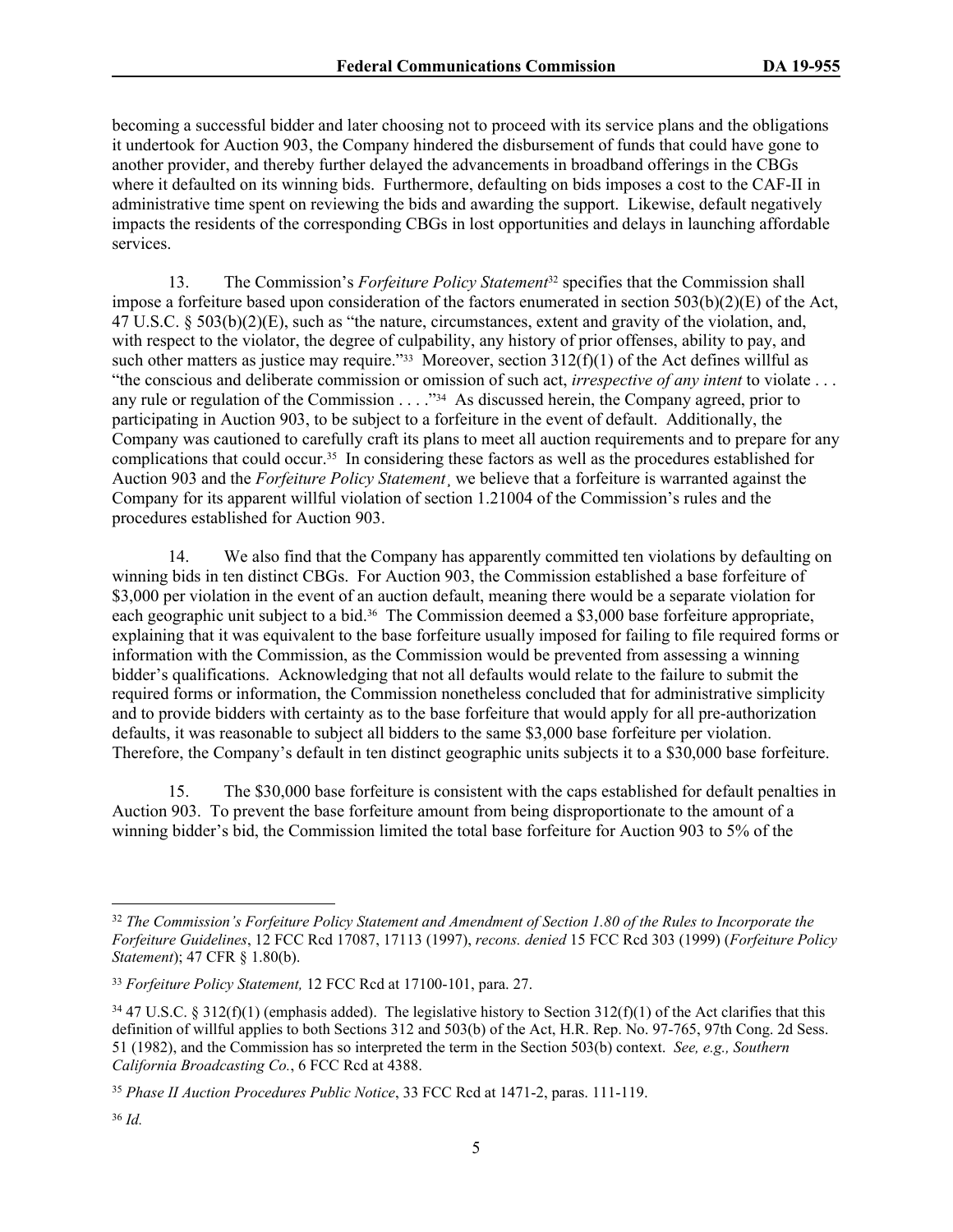becoming a successful bidder and later choosing not to proceed with its service plans and the obligations it undertook for Auction 903, the Company hindered the disbursement of funds that could have gone to another provider, and thereby further delayed the advancements in broadband offerings in the CBGs where it defaulted on its winning bids. Furthermore, defaulting on bids imposes a cost to the CAF-II in administrative time spent on reviewing the bids and awarding the support. Likewise, default negatively impacts the residents of the corresponding CBGs in lost opportunities and delays in launching affordable services.

13. The Commission's *Forfeiture Policy Statement*32 specifies that the Commission shall impose a forfeiture based upon consideration of the factors enumerated in section 503(b)(2)(E) of the Act, 47 U.S.C. § 503(b)(2)(E), such as "the nature, circumstances, extent and gravity of the violation, and, with respect to the violator, the degree of culpability, any history of prior offenses, ability to pay, and such other matters as justice may require."<sup>33</sup> Moreover, section  $312(f)(1)$  of the Act defines willful as "the conscious and deliberate commission or omission of such act, *irrespective of any intent* to violate . . . any rule or regulation of the Commission . . . . "34 As discussed herein, the Company agreed, prior to participating in Auction 903, to be subject to a forfeiture in the event of default. Additionally, the Company was cautioned to carefully craft its plans to meet all auction requirements and to prepare for any complications that could occur.35 In considering these factors as well as the procedures established for Auction 903 and the *Forfeiture Policy Statement*¸ we believe that a forfeiture is warranted against the Company for its apparent willful violation of section 1.21004 of the Commission's rules and the procedures established for Auction 903.

14. We also find that the Company has apparently committed ten violations by defaulting on winning bids in ten distinct CBGs. For Auction 903, the Commission established a base forfeiture of \$3,000 per violation in the event of an auction default, meaning there would be a separate violation for each geographic unit subject to a bid.<sup>36</sup> The Commission deemed a \$3,000 base forfeiture appropriate, explaining that it was equivalent to the base forfeiture usually imposed for failing to file required forms or information with the Commission, as the Commission would be prevented from assessing a winning bidder's qualifications. Acknowledging that not all defaults would relate to the failure to submit the required forms or information, the Commission nonetheless concluded that for administrative simplicity and to provide bidders with certainty as to the base forfeiture that would apply for all pre-authorization defaults, it was reasonable to subject all bidders to the same \$3,000 base forfeiture per violation. Therefore, the Company's default in ten distinct geographic units subjects it to a \$30,000 base forfeiture.

15. The \$30,000 base forfeiture is consistent with the caps established for default penalties in Auction 903. To prevent the base forfeiture amount from being disproportionate to the amount of a winning bidder's bid, the Commission limited the total base forfeiture for Auction 903 to 5% of the

<sup>32</sup> *The Commission's Forfeiture Policy Statement and Amendment of Section 1.80 of the Rules to Incorporate the Forfeiture Guidelines*, 12 FCC Rcd 17087, 17113 (1997), *recons. denied* 15 FCC Rcd 303 (1999) (*Forfeiture Policy Statement*); 47 CFR § 1.80(b).

<sup>33</sup> *Forfeiture Policy Statement,* 12 FCC Rcd at 17100-101, para. 27.

 $34\,47$  U.S.C. § 312(f)(1) (emphasis added). The legislative history to Section 312(f)(1) of the Act clarifies that this definition of willful applies to both Sections 312 and 503(b) of the Act, H.R. Rep. No. 97-765, 97th Cong. 2d Sess. 51 (1982), and the Commission has so interpreted the term in the Section 503(b) context. *See, e.g., Southern California Broadcasting Co.*, 6 FCC Rcd at 4388.

<sup>35</sup> *Phase II Auction Procedures Public Notice*, 33 FCC Rcd at 1471-2, paras. 111-119.

<sup>36</sup> *Id.*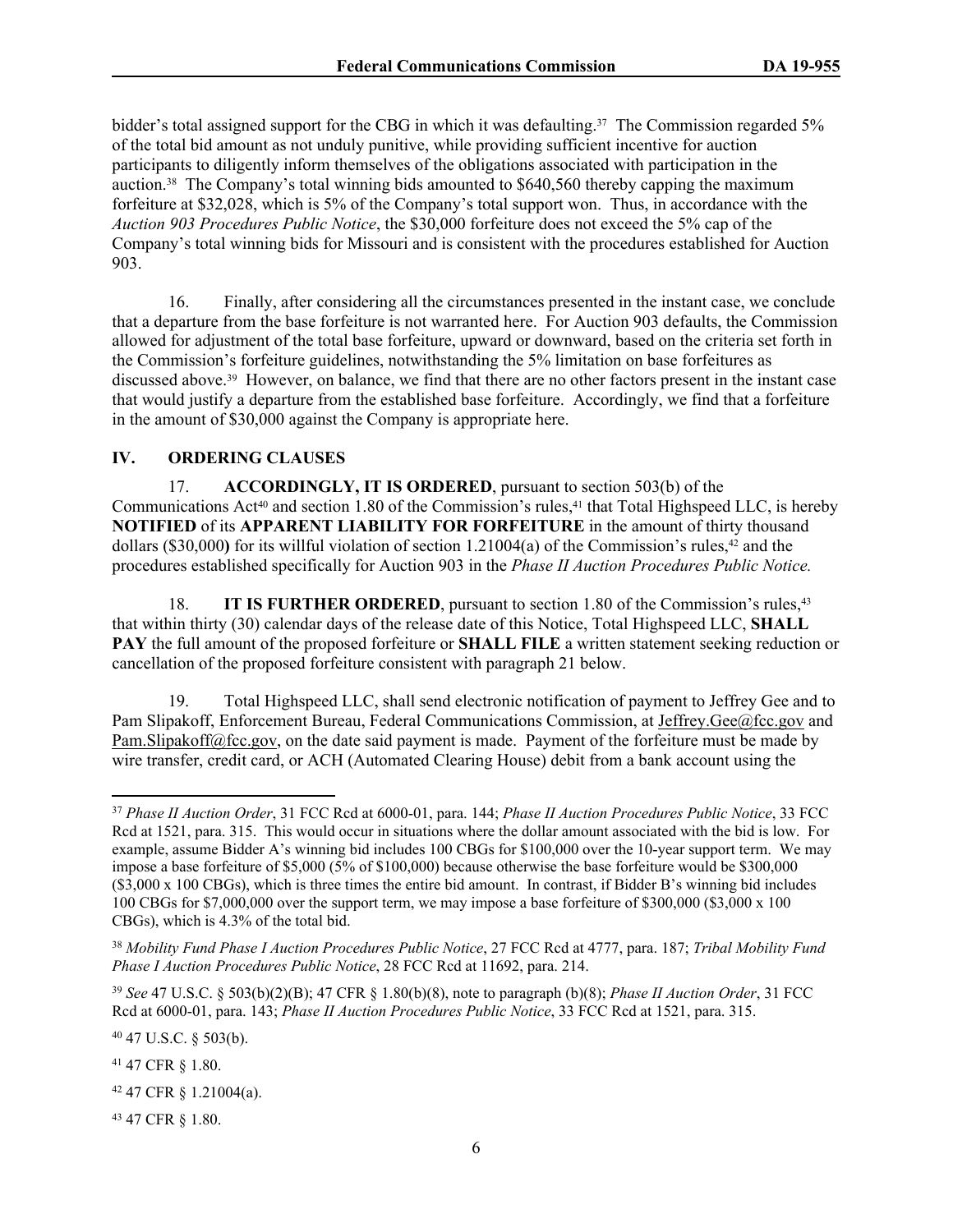bidder's total assigned support for the CBG in which it was defaulting.<sup>37</sup> The Commission regarded 5% of the total bid amount as not unduly punitive, while providing sufficient incentive for auction participants to diligently inform themselves of the obligations associated with participation in the auction.38 The Company's total winning bids amounted to \$640,560 thereby capping the maximum forfeiture at \$32,028, which is 5% of the Company's total support won. Thus, in accordance with the *Auction 903 Procedures Public Notice*, the \$30,000 forfeiture does not exceed the 5% cap of the Company's total winning bids for Missouri and is consistent with the procedures established for Auction 903.

16. Finally, after considering all the circumstances presented in the instant case, we conclude that a departure from the base forfeiture is not warranted here. For Auction 903 defaults, the Commission allowed for adjustment of the total base forfeiture, upward or downward, based on the criteria set forth in the Commission's forfeiture guidelines, notwithstanding the 5% limitation on base forfeitures as discussed above.39 However, on balance, we find that there are no other factors present in the instant case that would justify a departure from the established base forfeiture. Accordingly, we find that a forfeiture in the amount of \$30,000 against the Company is appropriate here.

### **IV. ORDERING CLAUSES**

17. **ACCORDINGLY, IT IS ORDERED**, pursuant to section 503(b) of the Communications Act<sup>40</sup> and section 1.80 of the Commission's rules,<sup>41</sup> that Total Highspeed LLC, is hereby **NOTIFIED** of its **APPARENT LIABILITY FOR FORFEITURE** in the amount of thirty thousand dollars (\$30,000**)** for its willful violation of section 1.21004(a) of the Commission's rules,42 and the procedures established specifically for Auction 903 in the *Phase II Auction Procedures Public Notice.*

18. **IT IS FURTHER ORDERED**, pursuant to section 1.80 of the Commission's rules,<sup>43</sup> that within thirty (30) calendar days of the release date of this Notice, Total Highspeed LLC, **SHALL PAY** the full amount of the proposed forfeiture or **SHALL FILE** a written statement seeking reduction or cancellation of the proposed forfeiture consistent with paragraph 21 below.

19. Total Highspeed LLC, shall send electronic notification of payment to Jeffrey Gee and to Pam Slipakoff, Enforcement Bureau, Federal Communications Commission, at [Jeffrey.Gee@fcc.gov](mailto:Jeffrey.Gee@fcc.gov) and [Pam.Slipakoff@fcc.gov](mailto:Pam.Slipakoff@fcc.gov), on the date said payment is made. Payment of the forfeiture must be made by wire transfer, credit card, or ACH (Automated Clearing House) debit from a bank account using the

<sup>39</sup> *See* 47 U.S.C. § 503(b)(2)(B); 47 CFR § 1.80(b)(8), note to paragraph (b)(8); *Phase II Auction Order*, 31 FCC Rcd at 6000-01, para. 143; *Phase II Auction Procedures Public Notice*, 33 FCC Rcd at 1521, para. 315.

<sup>40</sup> 47 U.S.C. § 503(b).

<sup>41</sup> 47 CFR § 1.80.

<sup>42</sup> 47 CFR § 1.21004(a).

43 47 CFR § 1.80.

<sup>37</sup> *Phase II Auction Order*, 31 FCC Rcd at 6000-01, para. 144; *Phase II Auction Procedures Public Notice*, 33 FCC Rcd at 1521, para. 315. This would occur in situations where the dollar amount associated with the bid is low. For example, assume Bidder A's winning bid includes 100 CBGs for \$100,000 over the 10-year support term. We may impose a base forfeiture of \$5,000 (5% of \$100,000) because otherwise the base forfeiture would be \$300,000 (\$3,000 x 100 CBGs), which is three times the entire bid amount. In contrast, if Bidder B's winning bid includes 100 CBGs for \$7,000,000 over the support term, we may impose a base forfeiture of \$300,000 (\$3,000 x 100 CBGs), which is 4.3% of the total bid.

<sup>38</sup> *Mobility Fund Phase I Auction Procedures Public Notice*, 27 FCC Rcd at 4777, para. 187; *Tribal Mobility Fund Phase I Auction Procedures Public Notice*, 28 FCC Rcd at 11692, para. 214.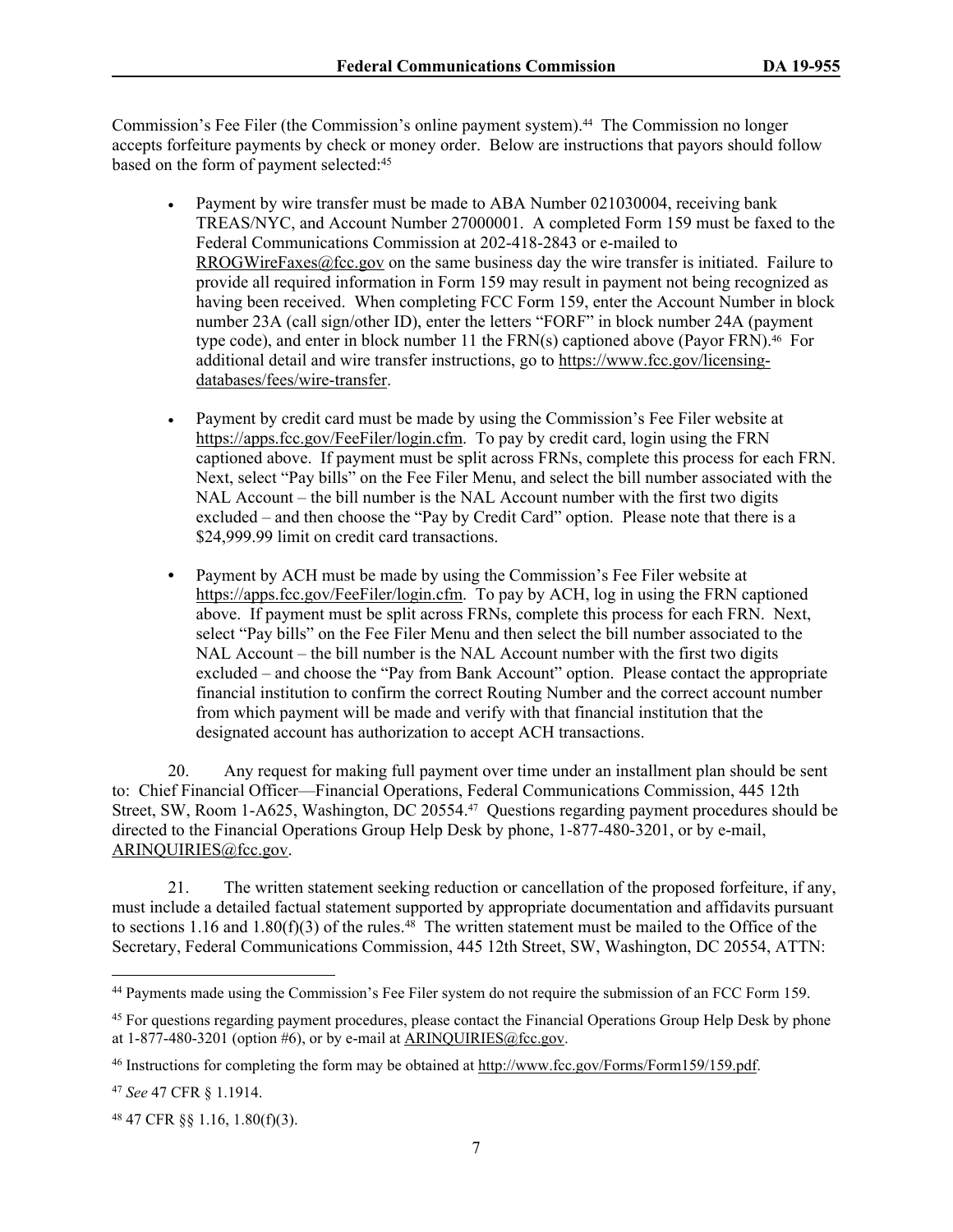Commission's Fee Filer (the Commission's online payment system).44 The Commission no longer accepts forfeiture payments by check or money order. Below are instructions that payors should follow based on the form of payment selected:<sup>45</sup>

- Payment by wire transfer must be made to ABA Number 021030004, receiving bank TREAS/NYC, and Account Number 27000001. A completed Form 159 must be faxed to the Federal Communications Commission at 202-418-2843 or e-mailed to [RROGWireFaxes@fcc.gov](mailto:RROGWireFaxes@fcc.gov) on the same business day the wire transfer is initiated. Failure to provide all required information in Form 159 may result in payment not being recognized as having been received. When completing FCC Form 159, enter the Account Number in block number 23A (call sign/other ID), enter the letters "FORF" in block number 24A (payment type code), and enter in block number 11 the  $FRN(s)$  captioned above (Payor  $FRN$ ).<sup>46</sup> For additional detail and wire transfer instructions, go to [https://www.fcc.gov/licensing](https://www.fcc.gov/licensing-databases/fees/wire-transfer)[databases/fees/wire-transfer.](https://www.fcc.gov/licensing-databases/fees/wire-transfer)
- Payment by credit card must be made by using the Commission's Fee Filer website at <https://apps.fcc.gov/FeeFiler/login.cfm>. To pay by credit card, login using the FRN captioned above. If payment must be split across FRNs, complete this process for each FRN. Next, select "Pay bills" on the Fee Filer Menu, and select the bill number associated with the NAL Account – the bill number is the NAL Account number with the first two digits excluded – and then choose the "Pay by Credit Card" option. Please note that there is a \$24,999.99 limit on credit card transactions.
- **•** Payment by ACH must be made by using the Commission's Fee Filer website at <https://apps.fcc.gov/FeeFiler/login.cfm>. To pay by ACH, log in using the FRN captioned above. If payment must be split across FRNs, complete this process for each FRN. Next, select "Pay bills" on the Fee Filer Menu and then select the bill number associated to the NAL Account – the bill number is the NAL Account number with the first two digits excluded – and choose the "Pay from Bank Account" option. Please contact the appropriate financial institution to confirm the correct Routing Number and the correct account number from which payment will be made and verify with that financial institution that the designated account has authorization to accept ACH transactions.

20. Any request for making full payment over time under an installment plan should be sent to: Chief Financial Officer—Financial Operations, Federal Communications Commission, 445 12th Street, SW, Room 1-A625, Washington, DC 20554.47 Questions regarding payment procedures should be directed to the Financial Operations Group Help Desk by phone, 1-877-480-3201, or by e-mail, [ARINQUIRIES@fcc.gov](mailto:ARINQUIRIES@fcc.gov).

21. The written statement seeking reduction or cancellation of the proposed forfeiture, if any, must include a detailed factual statement supported by appropriate documentation and affidavits pursuant to sections 1.16 and 1.80(f)(3) of the rules.<sup>48</sup> The written statement must be mailed to the Office of the Secretary, Federal Communications Commission, 445 12th Street, SW, Washington, DC 20554, ATTN:

<sup>44</sup> Payments made using the Commission's Fee Filer system do not require the submission of an FCC Form 159.

<sup>45</sup> For questions regarding payment procedures, please contact the Financial Operations Group Help Desk by phone at  $1-877-480-3201$  (option #6), or by e-mail at ARINOUIRIES@fcc.gov.

<sup>&</sup>lt;sup>46</sup> Instructions for completing the form may be obtained at<http://www.fcc.gov/Forms/Form159/159.pdf>.

<sup>47</sup> *See* 47 CFR § 1.1914.

<sup>48</sup> 47 CFR §§ 1.16, 1.80(f)(3).